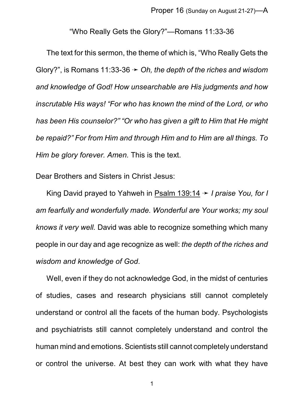"Who Really Gets the Glory?"—Romans 11:33-36

The text for this sermon, the theme of which is, "Who Really Gets the Glory?", is Romans 11:33-36  $\rightarrow$  *Oh, the depth of the riches and wisdom and knowledge of God! How unsearchable are His judgments and how inscrutable His ways! "For who has known the mind of the Lord, or who has been His counselor?" "Or who has given a gift to Him that He might be repaid?" For from Him and through Him and to Him are all things. To Him be glory forever. Amen.* This is the text.

Dear Brothers and Sisters in Christ Jesus:

King David prayed to Yahweh in Psalm 139:14 → *I praise You, for I am fearfully and wonderfully made. Wonderful are Your works; my soul knows it very well.* David was able to recognize something which many people in our day and age recognize as well: *the depth of the riches and wisdom and knowledge of God*.

Well, even if they do not acknowledge God, in the midst of centuries of studies, cases and research physicians still cannot completely understand or control all the facets of the human body. Psychologists and psychiatrists still cannot completely understand and control the human mind and emotions. Scientists still cannot completely understand or control the universe. At best they can work with what they have

1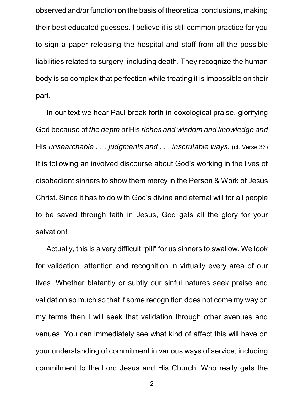observed and/or function on the basis of theoretical conclusions, making their best educated guesses. I believe it is still common practice for you to sign a paper releasing the hospital and staff from all the possible liabilities related to surgery, including death. They recognize the human body is so complex that perfection while treating it is impossible on their part.

In our text we hear Paul break forth in doxological praise, glorifying God because of *the depth of* His *riches and wisdom and knowledge and* His *unsearchable . . . judgments and . . . inscrutable ways*. (cf. Verse 33) It is following an involved discourse about God's working in the lives of disobedient sinners to show them mercy in the Person & Work of Jesus Christ. Since it has to do with God's divine and eternal will for all people to be saved through faith in Jesus, God gets all the glory for your salvation!

Actually, this is a very difficult "pill" for us sinners to swallow. We look for validation, attention and recognition in virtually every area of our lives. Whether blatantly or subtly our sinful natures seek praise and validation so much so that if some recognition does not come my way on my terms then I will seek that validation through other avenues and venues. You can immediately see what kind of affect this will have on your understanding of commitment in various ways of service, including commitment to the Lord Jesus and His Church. Who really gets the

2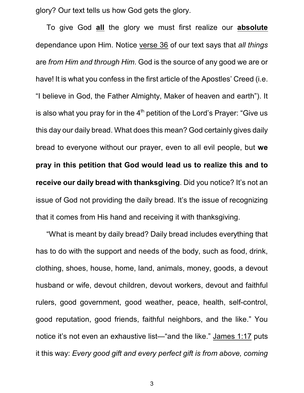glory? Our text tells us how God gets the glory.

To give God **all** the glory we must first realize our **absolute** dependance upon Him. Notice verse 36 of our text says that *all things* are *from Him and through Him*. God is the source of any good we are or have! It is what you confess in the first article of the Apostles' Creed (i.e. "I believe in God, the Father Almighty, Maker of heaven and earth"). It is also what you pray for in the 4 $^{\rm th}$  petition of the Lord's Prayer: "Give us this day our daily bread. What does this mean? God certainly gives daily bread to everyone without our prayer, even to all evil people, but **we pray in this petition that God would lead us to realize this and to receive our daily bread with thanksgiving**. Did you notice? It's not an issue of God not providing the daily bread. It's the issue of recognizing that it comes from His hand and receiving it with thanksgiving.

"What is meant by daily bread? Daily bread includes everything that has to do with the support and needs of the body, such as food, drink, clothing, shoes, house, home, land, animals, money, goods, a devout husband or wife, devout children, devout workers, devout and faithful rulers, good government, good weather, peace, health, self-control, good reputation, good friends, faithful neighbors, and the like." You notice it's not even an exhaustive list—"and the like." James 1:17 puts it this way: *Every good gift and every perfect gift is from above, coming*

3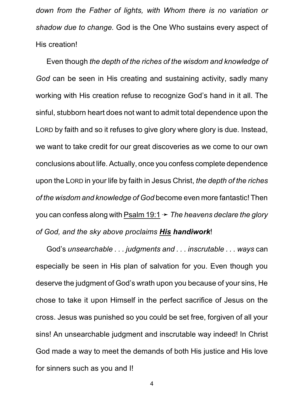*down from the Father of lights, with Whom there is no variation or shadow due to change.* God is the One Who sustains every aspect of His creation!

Even though *the depth of the riches of the wisdom and knowledge of God* can be seen in His creating and sustaining activity, sadly many working with His creation refuse to recognize God's hand in it all. The sinful, stubborn heart does not want to admit total dependence upon the LORD by faith and so it refuses to give glory where glory is due. Instead, we want to take credit for our great discoveries as we come to our own conclusions about life. Actually, once you confess complete dependence upon the LORD in your life by faith in Jesus Christ, *the depth of the riches of the wisdom and knowledge of God* become even more fantastic! Then you can confess along with Psalm 19:1 ý *The heavens declare the glory of God, and the sky above proclaims His handiwork*!

God's *unsearchable . . . judgments and . . . inscrutable . . . ways* can especially be seen in His plan of salvation for you. Even though you deserve the judgment of God's wrath upon you because of your sins, He chose to take it upon Himself in the perfect sacrifice of Jesus on the cross. Jesus was punished so you could be set free, forgiven of all your sins! An unsearchable judgment and inscrutable way indeed! In Christ God made a way to meet the demands of both His justice and His love for sinners such as you and I!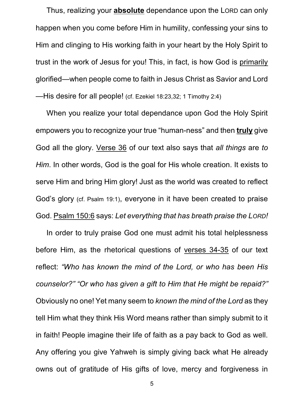Thus, realizing your **absolute** dependance upon the LORD can only happen when you come before Him in humility, confessing your sins to Him and clinging to His working faith in your heart by the Holy Spirit to trust in the work of Jesus for you! This, in fact, is how God is primarily glorified—when people come to faith in Jesus Christ as Savior and Lord —His desire for all people! (cf. Ezekiel 18:23,32; 1 Timothy 2:4)

When you realize your total dependance upon God the Holy Spirit empowers you to recognize your true "human-ness" and then **truly** give God all the glory. Verse 36 of our text also says that *all things* are *to Him*. In other words, God is the goal for His whole creation. It exists to serve Him and bring Him glory! Just as the world was created to reflect God's glory (cf. Psalm 19:1), everyone in it have been created to praise God. Psalm 150:6 says: *Let everything that has breath praise the LORD!*

In order to truly praise God one must admit his total helplessness before Him, as the rhetorical questions of verses 34-35 of our text reflect: *"Who has known the mind of the Lord, or who has been His counselor?" "Or who has given a gift to Him that He might be repaid?"* Obviously no one! Yet many seem to *known the mind of the Lord* as they tell Him what they think His Word means rather than simply submit to it in faith! People imagine their life of faith as a pay back to God as well. Any offering you give Yahweh is simply giving back what He already owns out of gratitude of His gifts of love, mercy and forgiveness in